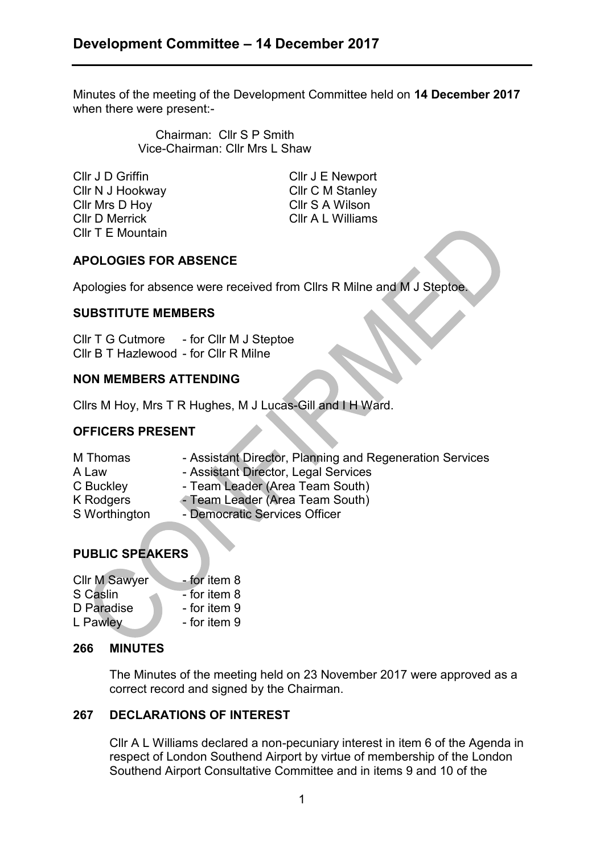Minutes of the meeting of the Development Committee held on **14 December 2017** when there were present:-

> Chairman: Cllr S P Smith Vice-Chairman: Cllr Mrs L Shaw

Cllr J D Griffin Cllr J E Newport Cllr N J Hookway Cllr C M Stanley Cllr Mrs D Hoy Cllr S A Wilson Cllr D Merrick Cllr A L Williams Cllr T E Mountain

# **APOLOGIES FOR ABSENCE**

Apologies for absence were received from Cllrs R Milne and M J Steptoe.

## **SUBSTITUTE MEMBERS**

Cllr T G Cutmore - for Cllr M J Steptoe Cllr B T Hazlewood - for Cllr R Milne

## **NON MEMBERS ATTENDING**

Cllrs M Hoy, Mrs T R Hughes, M J Lucas-Gill and I H Ward.

# **OFFICERS PRESENT**

- M Thomas Assistant Director, Planning and Regeneration Services
- A Law Assistant Director, Legal Services
- C Buckley Team Leader (Area Team South)
- K Rodgers Team Leader (Area Team South)
- S Worthington Democratic Services Officer

# **PUBLIC SPEAKERS**

| <b>Cllr M Sawyer</b> | - for item 8 |
|----------------------|--------------|
| S Caslin             | - for item 8 |
| D Paradise           | - for item 9 |
| L Pawley             | - for item 9 |

## **266 MINUTES**

The Minutes of the meeting held on 23 November 2017 were approved as a correct record and signed by the Chairman.

## **267 DECLARATIONS OF INTEREST**

Cllr A L Williams declared a non-pecuniary interest in item 6 of the Agenda in respect of London Southend Airport by virtue of membership of the London Southend Airport Consultative Committee and in items 9 and 10 of the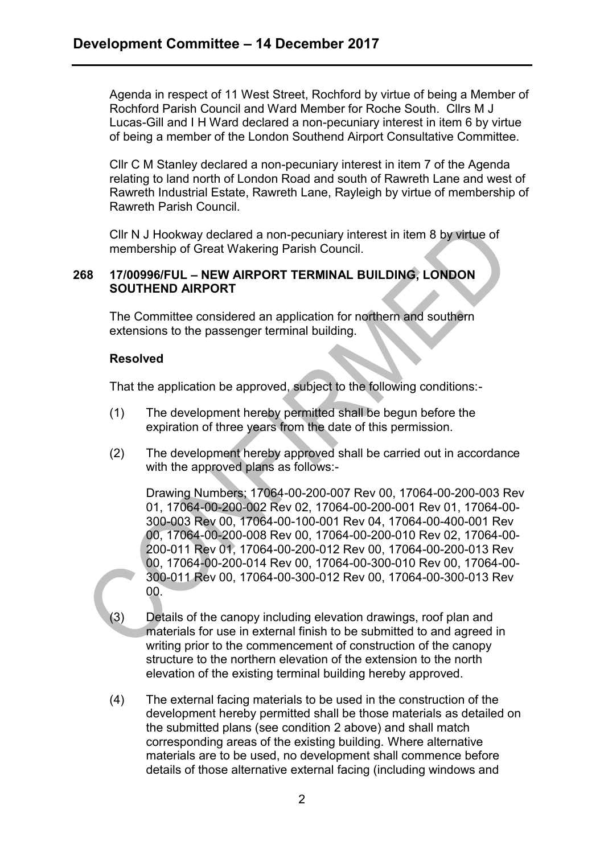Agenda in respect of 11 West Street, Rochford by virtue of being a Member of Rochford Parish Council and Ward Member for Roche South. Cllrs M J Lucas-Gill and I H Ward declared a non-pecuniary interest in item 6 by virtue of being a member of the London Southend Airport Consultative Committee.

Cllr C M Stanley declared a non-pecuniary interest in item 7 of the Agenda relating to land north of London Road and south of Rawreth Lane and west of Rawreth Industrial Estate, Rawreth Lane, Rayleigh by virtue of membership of Rawreth Parish Council.

Cllr N J Hookway declared a non-pecuniary interest in item 8 by virtue of membership of Great Wakering Parish Council.

### **268 17/00996/FUL – NEW AIRPORT TERMINAL BUILDING, LONDON SOUTHEND AIRPORT**

The Committee considered an application for northern and southern extensions to the passenger terminal building.

### **Resolved**

That the application be approved, subject to the following conditions:-

- (1) The development hereby permitted shall be begun before the expiration of three years from the date of this permission.
- (2) The development hereby approved shall be carried out in accordance with the approved plans as follows:-

Drawing Numbers; 17064-00-200-007 Rev 00, 17064-00-200-003 Rev 01, 17064-00-200-002 Rev 02, 17064-00-200-001 Rev 01, 17064-00- 300-003 Rev 00, 17064-00-100-001 Rev 04, 17064-00-400-001 Rev 00, 17064-00-200-008 Rev 00, 17064-00-200-010 Rev 02, 17064-00- 200-011 Rev 01, 17064-00-200-012 Rev 00, 17064-00-200-013 Rev 00, 17064-00-200-014 Rev 00, 17064-00-300-010 Rev 00, 17064-00- 300-011 Rev 00, 17064-00-300-012 Rev 00, 17064-00-300-013 Rev 00.

- (3) Details of the canopy including elevation drawings, roof plan and materials for use in external finish to be submitted to and agreed in writing prior to the commencement of construction of the canopy structure to the northern elevation of the extension to the north elevation of the existing terminal building hereby approved.
- (4) The external facing materials to be used in the construction of the development hereby permitted shall be those materials as detailed on the submitted plans (see condition 2 above) and shall match corresponding areas of the existing building. Where alternative materials are to be used, no development shall commence before details of those alternative external facing (including windows and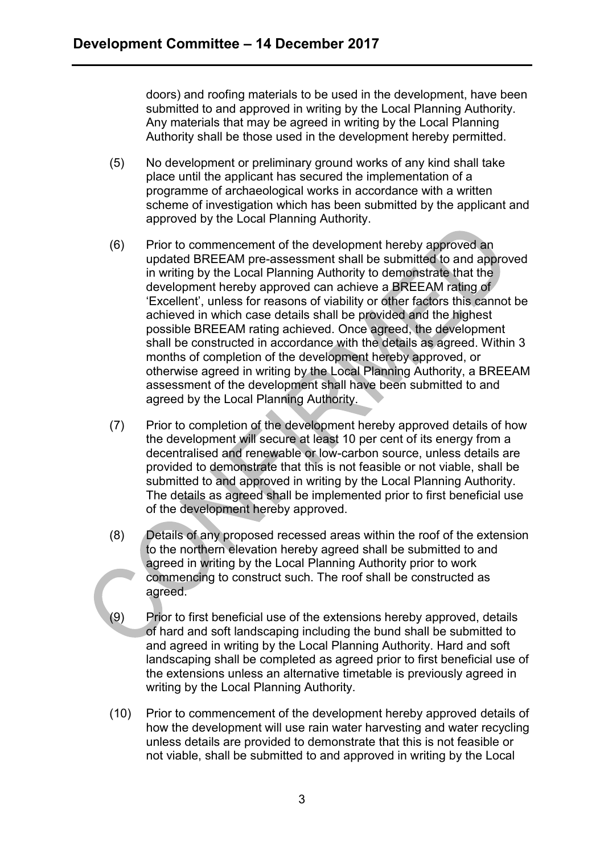doors) and roofing materials to be used in the development, have been submitted to and approved in writing by the Local Planning Authority. Any materials that may be agreed in writing by the Local Planning Authority shall be those used in the development hereby permitted.

- (5) No development or preliminary ground works of any kind shall take place until the applicant has secured the implementation of a programme of archaeological works in accordance with a written scheme of investigation which has been submitted by the applicant and approved by the Local Planning Authority.
- (6) Prior to commencement of the development hereby approved an updated BREEAM pre-assessment shall be submitted to and approved in writing by the Local Planning Authority to demonstrate that the development hereby approved can achieve a BREEAM rating of 'Excellent', unless for reasons of viability or other factors this cannot be achieved in which case details shall be provided and the highest possible BREEAM rating achieved. Once agreed, the development shall be constructed in accordance with the details as agreed. Within 3 months of completion of the development hereby approved, or otherwise agreed in writing by the Local Planning Authority, a BREEAM assessment of the development shall have been submitted to and agreed by the Local Planning Authority.
- (7) Prior to completion of the development hereby approved details of how the development will secure at least 10 per cent of its energy from a decentralised and renewable or low-carbon source, unless details are provided to demonstrate that this is not feasible or not viable, shall be submitted to and approved in writing by the Local Planning Authority. The details as agreed shall be implemented prior to first beneficial use of the development hereby approved.
- (8) Details of any proposed recessed areas within the roof of the extension to the northern elevation hereby agreed shall be submitted to and agreed in writing by the Local Planning Authority prior to work commencing to construct such. The roof shall be constructed as agreed.
- (9) Prior to first beneficial use of the extensions hereby approved, details of hard and soft landscaping including the bund shall be submitted to and agreed in writing by the Local Planning Authority. Hard and soft landscaping shall be completed as agreed prior to first beneficial use of the extensions unless an alternative timetable is previously agreed in writing by the Local Planning Authority.
- (10) Prior to commencement of the development hereby approved details of how the development will use rain water harvesting and water recycling unless details are provided to demonstrate that this is not feasible or not viable, shall be submitted to and approved in writing by the Local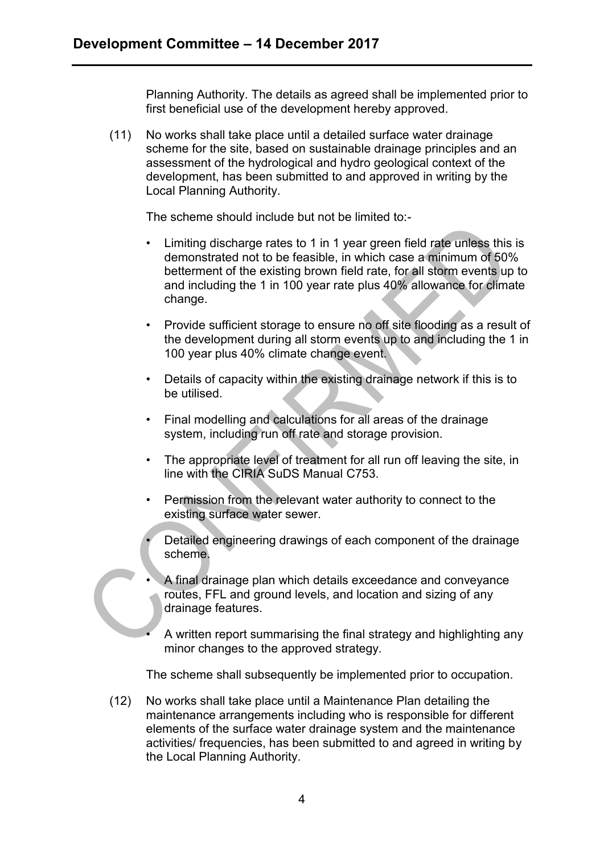Planning Authority. The details as agreed shall be implemented prior to first beneficial use of the development hereby approved.

(11) No works shall take place until a detailed surface water drainage scheme for the site, based on sustainable drainage principles and an assessment of the hydrological and hydro geological context of the development, has been submitted to and approved in writing by the Local Planning Authority.

The scheme should include but not be limited to:-

- Limiting discharge rates to 1 in 1 year green field rate unless this is demonstrated not to be feasible, in which case a minimum of 50% betterment of the existing brown field rate, for all storm events up to and including the 1 in 100 year rate plus 40% allowance for climate change.
- Provide sufficient storage to ensure no off site flooding as a result of the development during all storm events up to and including the 1 in 100 year plus 40% climate change event.
- Details of capacity within the existing drainage network if this is to be utilised.
- Final modelling and calculations for all areas of the drainage system, including run off rate and storage provision.
- The appropriate level of treatment for all run off leaving the site, in line with the CIRIA SuDS Manual C753.
- Permission from the relevant water authority to connect to the existing surface water sewer.
- Detailed engineering drawings of each component of the drainage scheme.
- A final drainage plan which details exceedance and conveyance routes, FFL and ground levels, and location and sizing of any drainage features.
	- A written report summarising the final strategy and highlighting any minor changes to the approved strategy.

The scheme shall subsequently be implemented prior to occupation.

(12) No works shall take place until a Maintenance Plan detailing the maintenance arrangements including who is responsible for different elements of the surface water drainage system and the maintenance activities/ frequencies, has been submitted to and agreed in writing by the Local Planning Authority.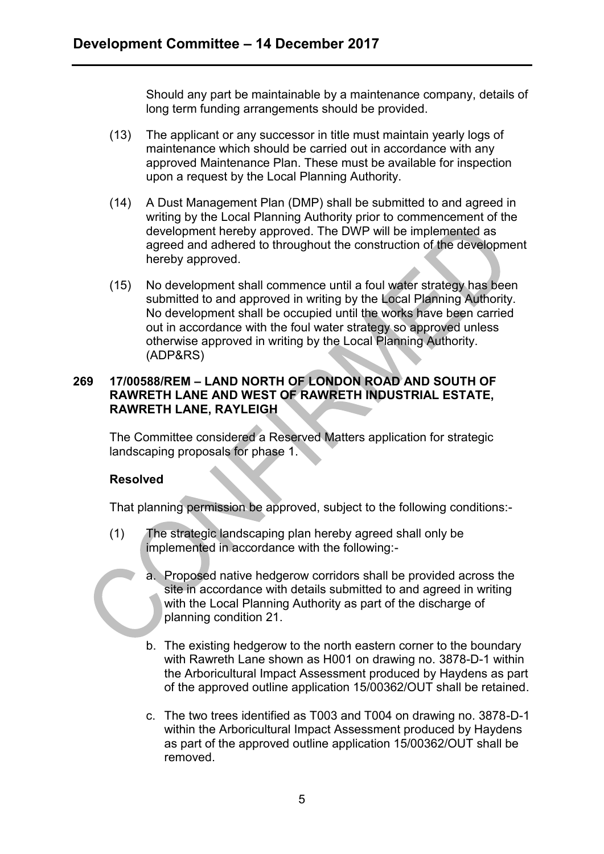Should any part be maintainable by a maintenance company, details of long term funding arrangements should be provided.

- (13) The applicant or any successor in title must maintain yearly logs of maintenance which should be carried out in accordance with any approved Maintenance Plan. These must be available for inspection upon a request by the Local Planning Authority.
- (14) A Dust Management Plan (DMP) shall be submitted to and agreed in writing by the Local Planning Authority prior to commencement of the development hereby approved. The DWP will be implemented as agreed and adhered to throughout the construction of the development hereby approved.
- (15) No development shall commence until a foul water strategy has been submitted to and approved in writing by the Local Planning Authority. No development shall be occupied until the works have been carried out in accordance with the foul water strategy so approved unless otherwise approved in writing by the Local Planning Authority. (ADP&RS)

## **269 17/00588/REM – LAND NORTH OF LONDON ROAD AND SOUTH OF RAWRETH LANE AND WEST OF RAWRETH INDUSTRIAL ESTATE, RAWRETH LANE, RAYLEIGH**

The Committee considered a Reserved Matters application for strategic landscaping proposals for phase 1.

## **Resolved**

That planning permission be approved, subject to the following conditions:-

- (1) The strategic landscaping plan hereby agreed shall only be implemented in accordance with the following:
	- a. Proposed native hedgerow corridors shall be provided across the site in accordance with details submitted to and agreed in writing with the Local Planning Authority as part of the discharge of planning condition 21.
	- b. The existing hedgerow to the north eastern corner to the boundary with Rawreth Lane shown as H001 on drawing no. 3878-D-1 within the Arboricultural Impact Assessment produced by Haydens as part of the approved outline application 15/00362/OUT shall be retained.
	- c. The two trees identified as T003 and T004 on drawing no. 3878-D-1 within the Arboricultural Impact Assessment produced by Haydens as part of the approved outline application 15/00362/OUT shall be removed.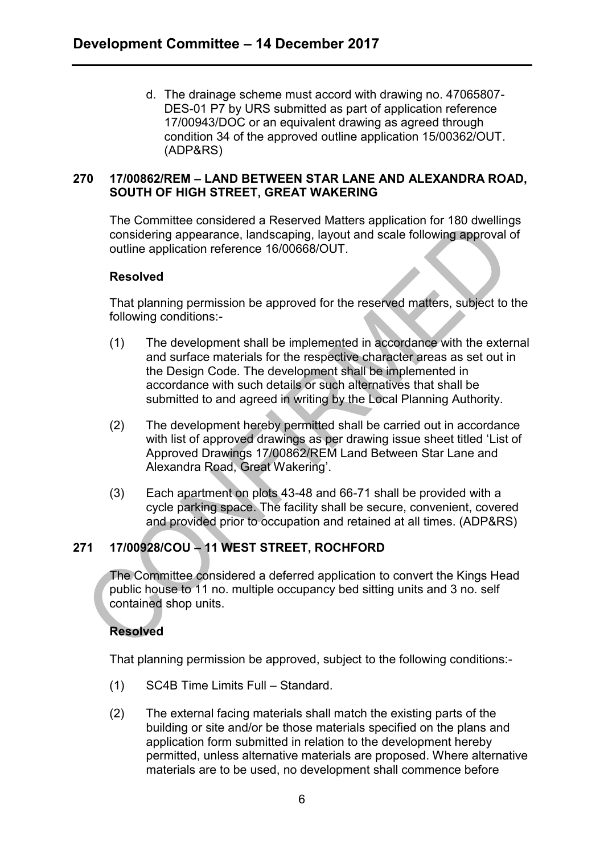d. The drainage scheme must accord with drawing no. 47065807- DES-01 P7 by URS submitted as part of application reference 17/00943/DOC or an equivalent drawing as agreed through condition 34 of the approved outline application 15/00362/OUT. (ADP&RS)

### **270 17/00862/REM – LAND BETWEEN STAR LANE AND ALEXANDRA ROAD, SOUTH OF HIGH STREET, GREAT WAKERING**

The Committee considered a Reserved Matters application for 180 dwellings considering appearance, landscaping, layout and scale following approval of outline application reference 16/00668/OUT.

### **Resolved**

That planning permission be approved for the reserved matters, subject to the following conditions:-

- (1) The development shall be implemented in accordance with the external and surface materials for the respective character areas as set out in the Design Code. The development shall be implemented in accordance with such details or such alternatives that shall be submitted to and agreed in writing by the Local Planning Authority.
- (2) The development hereby permitted shall be carried out in accordance with list of approved drawings as per drawing issue sheet titled 'List of Approved Drawings 17/00862/REM Land Between Star Lane and Alexandra Road, Great Wakering'.
- (3) Each apartment on plots 43-48 and 66-71 shall be provided with a cycle parking space. The facility shall be secure, convenient, covered and provided prior to occupation and retained at all times. (ADP&RS)

# **271 17/00928/COU – 11 WEST STREET, ROCHFORD**

The Committee considered a deferred application to convert the Kings Head public house to 11 no. multiple occupancy bed sitting units and 3 no. self contained shop units.

## **Resolved**

That planning permission be approved, subject to the following conditions:-

- (1) SC4B Time Limits Full Standard.
- (2) The external facing materials shall match the existing parts of the building or site and/or be those materials specified on the plans and application form submitted in relation to the development hereby permitted, unless alternative materials are proposed. Where alternative materials are to be used, no development shall commence before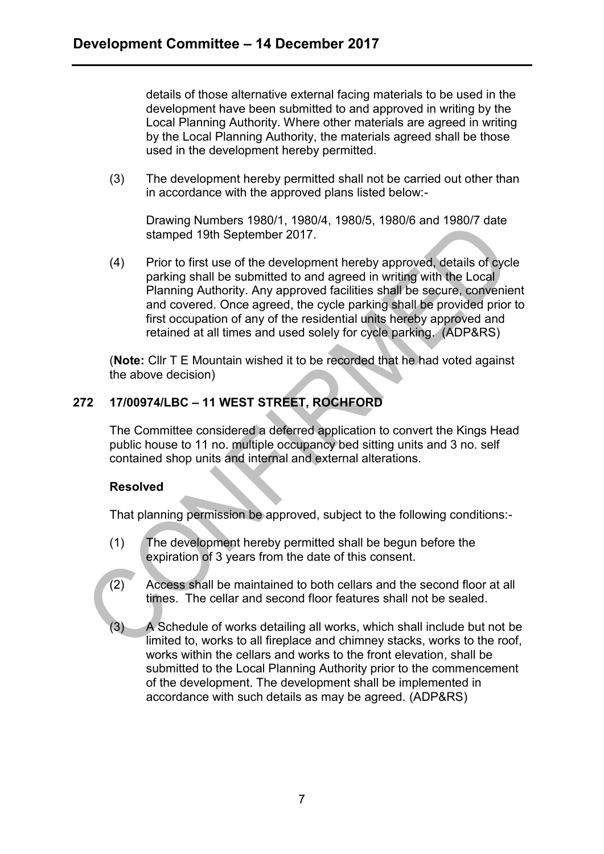details of those alternative external facing materials to be used in the development have been submitted to and approved in writing by the Local Planning Authority. Where other materials are agreed in writing by the Local Planning Authority, the materials agreed shall be those used in the development hereby permitted.

(3) The development hereby permitted shall not be carried out other than in accordance with the approved plans listed below:-

Drawing Numbers 1980/1, 1980/4, 1980/5, 1980/6 and 1980/7 date stamped 19th September 2017.

(4) Prior to first use of the development hereby approved, details of cycle parking shall be submitted to and agreed in writing with the Local Planning Authority. Any approved facilities shall be secure, convenient and covered. Once agreed, the cycle parking shall be provided prior to first occupation of any of the residential units hereby approved and retained at all times and used solely for cycle parking. (ADP&RS)

(**Note:** Cllr T E Mountain wished it to be recorded that he had voted against the above decision)

# **272 17/00974/LBC – 11 WEST STREET, ROCHFORD**

The Committee considered a deferred application to convert the Kings Head public house to 11 no. multiple occupancy bed sitting units and 3 no. self contained shop units and internal and external alterations.

### **Resolved**

That planning permission be approved, subject to the following conditions:-

- (1) The development hereby permitted shall be begun before the expiration of 3 years from the date of this consent.
- (2) Access shall be maintained to both cellars and the second floor at all times. The cellar and second floor features shall not be sealed.
- (3) A Schedule of works detailing all works, which shall include but not be limited to, works to all fireplace and chimney stacks, works to the roof, works within the cellars and works to the front elevation, shall be submitted to the Local Planning Authority prior to the commencement of the development. The development shall be implemented in accordance with such details as may be agreed. (ADP&RS)